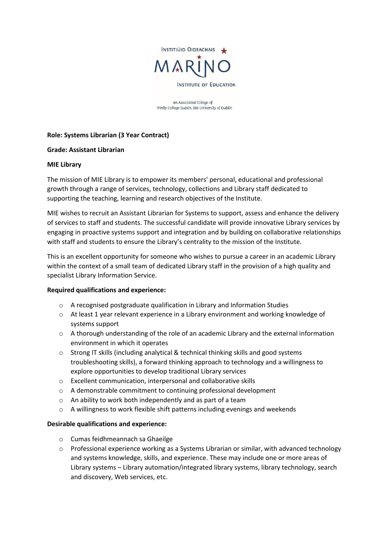

An Associated College of Trinity College Dublin, the University of Dublin

## **Role: Systems Librarian (3 Year Contract)**

### **Grade: Assistant Librarian**

#### **MIE Library**

The mission of MIE Library is to empower its members' personal, educational and professional growth through a range of services, technology, collections and Library staff dedicated to supporting the teaching, learning and research objectives of the Institute.

MIE wishes to recruit an Assistant Librarian for Systems to support, assess and enhance the delivery of services to staff and students. The successful candidate will provide innovative Library services by engaging in proactive systems support and integration and by building on collaborative relationships with staff and students to ensure the Library's centrality to the mission of the Institute.

This is an excellent opportunity for someone who wishes to pursue a career in an academic Library within the context of a small team of dedicated Library staff in the provision of a high quality and specialist Library Information Service.

### **Required qualifications and experience:**

- o A recognised postgraduate qualification in Library and Information Studies
- o At least 1 year relevant experience in a Library environment and working knowledge of systems support
- o A thorough understanding of the role of an academic Library and the external information environment in which it operates
- $\circ$  Strong IT skills (including analytical & technical thinking skills and good systems troubleshooting skills), a forward thinking approach to technology and a willingness to explore opportunities to develop traditional Library services
- o Excellent communication, interpersonal and collaborative skills
- o A demonstrable commitment to continuing professional development
- o An ability to work both independently and as part of a team
- o A willingness to work flexible shift patterns including evenings and weekends

### **Desirable qualifications and experience:**

- o Cumas feidhmeannach sa Ghaeilge
- $\circ$  Professional experience working as a Systems Librarian or similar, with advanced technology and systems knowledge, skills, and experience. These may include one or more areas of Library systems – Library automation/integrated library systems, library technology, search and discovery, Web services, etc.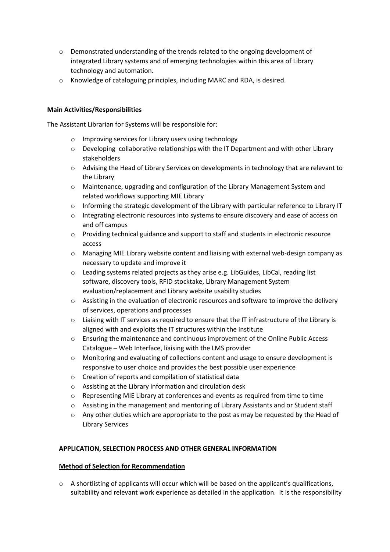- o Demonstrated understanding of the trends related to the ongoing development of integrated Library systems and of emerging technologies within this area of Library technology and automation.
- o Knowledge of cataloguing principles, including MARC and RDA, is desired.

## **Main Activities/Responsibilities**

The Assistant Librarian for Systems will be responsible for:

- o Improving services for Library users using technology
- $\circ$  Developing collaborative relationships with the IT Department and with other Library stakeholders
- o Advising the Head of Library Services on developments in technology that are relevant to the Library
- o Maintenance, upgrading and configuration of the Library Management System and related workflows supporting MIE Library
- $\circ$  Informing the strategic development of the Library with particular reference to Library IT
- o Integrating electronic resources into systems to ensure discovery and ease of access on and off campus
- o Providing technical guidance and support to staff and students in electronic resource access
- o Managing MIE Library website content and liaising with external web-design company as necessary to update and improve it
- o Leading systems related projects as they arise e.g. LibGuides, LibCal, reading list software, discovery tools, RFID stocktake, Library Management System evaluation/replacement and Library website usability studies
- o Assisting in the evaluation of electronic resources and software to improve the delivery of services, operations and processes
- $\circ$  Liaising with IT services as required to ensure that the IT infrastructure of the Library is aligned with and exploits the IT structures within the Institute
- o Ensuring the maintenance and continuous improvement of the Online Public Access Catalogue – Web Interface, liaising with the LMS provider
- o Monitoring and evaluating of collections content and usage to ensure development is responsive to user choice and provides the best possible user experience
- o Creation of reports and compilation of statistical data
- o Assisting at the Library information and circulation desk
- o Representing MIE Library at conferences and events as required from time to time
- o Assisting in the management and mentoring of Library Assistants and or Student staff
- o Any other duties which are appropriate to the post as may be requested by the Head of Library Services

### **APPLICATION, SELECTION PROCESS AND OTHER GENERAL INFORMATION**

### **Method of Selection for Recommendation**

 $\circ$  A shortlisting of applicants will occur which will be based on the applicant's qualifications, suitability and relevant work experience as detailed in the application. It is the responsibility